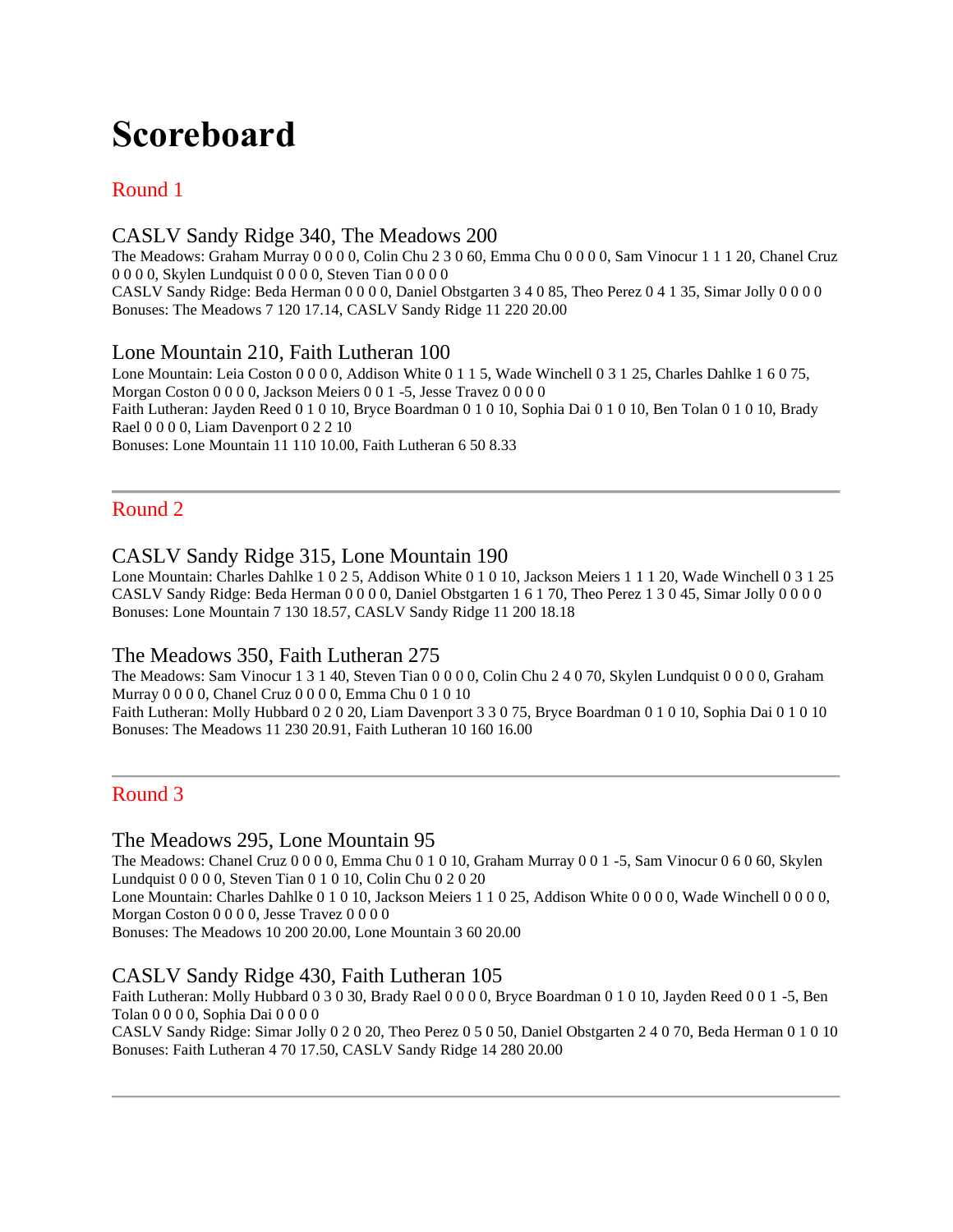# **Scoreboard**

## Round 1

## CASLV Sandy Ridge 340, The Meadows 200

The Meadows: Graham Murray 0 0 0 0, Colin Chu 2 3 0 60, Emma Chu 0 0 0 0, Sam Vinocur 1 1 1 20, Chanel Cruz 0 0 0 0, Skylen Lundquist 0 0 0 0, Steven Tian 0 0 0 0 CASLV Sandy Ridge: Beda Herman 0 0 0 0, Daniel Obstgarten 3 4 0 85, Theo Perez 0 4 1 35, Simar Jolly 0 0 0 0 Bonuses: The Meadows 7 120 17.14, CASLV Sandy Ridge 11 220 20.00

## Lone Mountain 210, Faith Lutheran 100

Lone Mountain: Leia Coston 0 0 0 0, Addison White 0 1 1 5, Wade Winchell 0 3 1 25, Charles Dahlke 1 6 0 75, Morgan Coston 0 0 0 0, Jackson Meiers 0 0 1 -5, Jesse Travez 0 0 0 0 Faith Lutheran: Jayden Reed 0 1 0 10, Bryce Boardman 0 1 0 10, Sophia Dai 0 1 0 10, Ben Tolan 0 1 0 10, Brady Rael 0 0 0 0, Liam Davenport 0 2 2 10 Bonuses: Lone Mountain 11 110 10.00, Faith Lutheran 6 50 8.33

## Round 2

## CASLV Sandy Ridge 315, Lone Mountain 190

Bonuses: The Meadows 11 230 20.91, Faith Lutheran 10 160 16.00

Lone Mountain: Charles Dahlke 1 0 2 5, Addison White 0 1 0 10, Jackson Meiers 1 1 1 20, Wade Winchell 0 3 1 25 CASLV Sandy Ridge: Beda Herman 0 0 0 0, Daniel Obstgarten 1 6 1 70, Theo Perez 1 3 0 45, Simar Jolly 0 0 0 0 Bonuses: Lone Mountain 7 130 18.57, CASLV Sandy Ridge 11 200 18.18

## The Meadows 350, Faith Lutheran 275

The Meadows: Sam Vinocur 1 3 1 40, Steven Tian 0 0 0 0, Colin Chu 2 4 0 70, Skylen Lundquist 0 0 0 0, Graham Murray 0 0 0 0, Chanel Cruz 0 0 0 0, Emma Chu 0 1 0 10 Faith Lutheran: Molly Hubbard 0 2 0 20, Liam Davenport 3 3 0 75, Bryce Boardman 0 1 0 10, Sophia Dai 0 1 0 10

## Round 3

## The Meadows 295, Lone Mountain 95

The Meadows: Chanel Cruz 0 0 0 0, Emma Chu 0 1 0 10, Graham Murray 0 0 1 -5, Sam Vinocur 0 6 0 60, Skylen Lundquist 0 0 0 0, Steven Tian 0 1 0 10, Colin Chu 0 2 0 20 Lone Mountain: Charles Dahlke 0 1 0 10, Jackson Meiers 1 1 0 25, Addison White 0 0 0 0, Wade Winchell 0 0 0 0, Morgan Coston 0 0 0 0, Jesse Travez 0 0 0 0 Bonuses: The Meadows 10 200 20.00, Lone Mountain 3 60 20.00

## CASLV Sandy Ridge 430, Faith Lutheran 105

Faith Lutheran: Molly Hubbard 0 3 0 30, Brady Rael 0 0 0 0, Bryce Boardman 0 1 0 10, Jayden Reed 0 0 1 -5, Ben Tolan 0 0 0 0, Sophia Dai 0 0 0 0

CASLV Sandy Ridge: Simar Jolly 0 2 0 20, Theo Perez 0 5 0 50, Daniel Obstgarten 2 4 0 70, Beda Herman 0 1 0 10 Bonuses: Faith Lutheran 4 70 17.50, CASLV Sandy Ridge 14 280 20.00